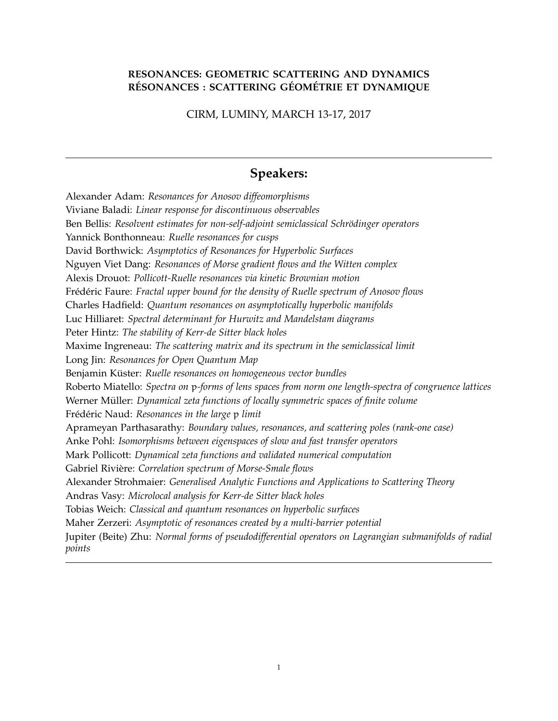#### **RESONANCES: GEOMETRIC SCATTERING AND DYNAMICS RESONANCES : SCATTERING G ´ EOM ´ ETRIE ET DYNAMIQUE ´**

CIRM, LUMINY, MARCH 13-17, 2017

## **Speakers:**

Alexander Adam: *Resonances for Anosov diffeomorphisms* Viviane Baladi: *Linear response for discontinuous observables* Ben Bellis: *Resolvent estimates for non-self-adjoint semiclassical Schrödinger operators* Yannick Bonthonneau: *Ruelle resonances for cusps* David Borthwick: *Asymptotics of Resonances for Hyperbolic Surfaces* Nguyen Viet Dang: *Resonances of Morse gradient flows and the Witten complex* Alexis Drouot: *Pollicott-Ruelle resonances via kinetic Brownian motion* Frédéric Faure: *Fractal upper bound for the density of Ruelle spectrum of Anosov flows* Charles Hadfield: *Quantum resonances on asymptotically hyperbolic manifolds* Luc Hilliaret: *Spectral determinant for Hurwitz and Mandelstam diagrams* Peter Hintz: *The stability of Kerr-de Sitter black holes* Maxime Ingreneau: *The scattering matrix and its spectrum in the semiclassical limit* Long Jin: *Resonances for Open Quantum Map* Benjamin Küster: Ruelle resonances on homogeneous vector bundles Roberto Miatello: *Spectra on* p*-forms of lens spaces from norm one length-spectra of congruence lattices* Werner Müller: *Dynamical zeta functions of locally symmetric spaces of finite volume* Frédéric Naud: Resonances in the large p limit Aprameyan Parthasarathy: *Boundary values, resonances, and scattering poles (rank-one case)* Anke Pohl: *Isomorphisms between eigenspaces of slow and fast transfer operators* Mark Pollicott: *Dynamical zeta functions and validated numerical computation* Gabriel Riviere: ` *Correlation spectrum of Morse-Smale flows* Alexander Strohmaier: *Generalised Analytic Functions and Applications to Scattering Theory* Andras Vasy: *Microlocal analysis for Kerr-de Sitter black holes* Tobias Weich: *Classical and quantum resonances on hyperbolic surfaces* Maher Zerzeri: *Asymptotic of resonances created by a multi-barrier potential* Jupiter (Beite) Zhu: *Normal forms of pseudodifferential operators on Lagrangian submanifolds of radial points*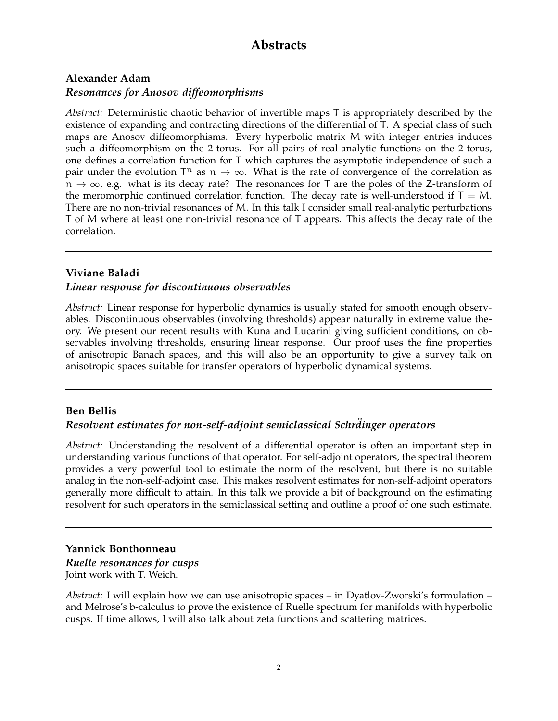# **Abstracts**

## **Alexander Adam**

#### *Resonances for Anosov diffeomorphisms*

*Abstract:* Deterministic chaotic behavior of invertible maps T is appropriately described by the existence of expanding and contracting directions of the differential of T. A special class of such maps are Anosov diffeomorphisms. Every hyperbolic matrix M with integer entries induces such a diffeomorphism on the 2-torus. For all pairs of real-analytic functions on the 2-torus, one defines a correlation function for T which captures the asymptotic independence of such a pair under the evolution  $T^n$  as  $n \to \infty$ . What is the rate of convergence of the correlation as  $n \to \infty$ , e.g. what is its decay rate? The resonances for T are the poles of the Z-transform of the meromorphic continued correlation function. The decay rate is well-understood if  $T = M$ . There are no non-trivial resonances of M. In this talk I consider small real-analytic perturbations T of M where at least one non-trivial resonance of T appears. This affects the decay rate of the correlation.

#### **Viviane Baladi**

#### *Linear response for discontinuous observables*

*Abstract:* Linear response for hyperbolic dynamics is usually stated for smooth enough observables. Discontinuous observables (involving thresholds) appear naturally in extreme value theory. We present our recent results with Kuna and Lucarini giving sufficient conditions, on observables involving thresholds, ensuring linear response. Our proof uses the fine properties of anisotropic Banach spaces, and this will also be an opportunity to give a survey talk on anisotropic spaces suitable for transfer operators of hyperbolic dynamical systems.

#### **Ben Bellis**

#### *Resolvent estimates for non-self-adjoint semiclassical Schrdinger operators ¨*

*Abstract:* Understanding the resolvent of a differential operator is often an important step in understanding various functions of that operator. For self-adjoint operators, the spectral theorem provides a very powerful tool to estimate the norm of the resolvent, but there is no suitable analog in the non-self-adjoint case. This makes resolvent estimates for non-self-adjoint operators generally more difficult to attain. In this talk we provide a bit of background on the estimating resolvent for such operators in the semiclassical setting and outline a proof of one such estimate.

#### **Yannick Bonthonneau**

*Ruelle resonances for cusps* Joint work with T. Weich.

*Abstract:* I will explain how we can use anisotropic spaces – in Dyatlov-Zworski's formulation – and Melrose's b-calculus to prove the existence of Ruelle spectrum for manifolds with hyperbolic cusps. If time allows, I will also talk about zeta functions and scattering matrices.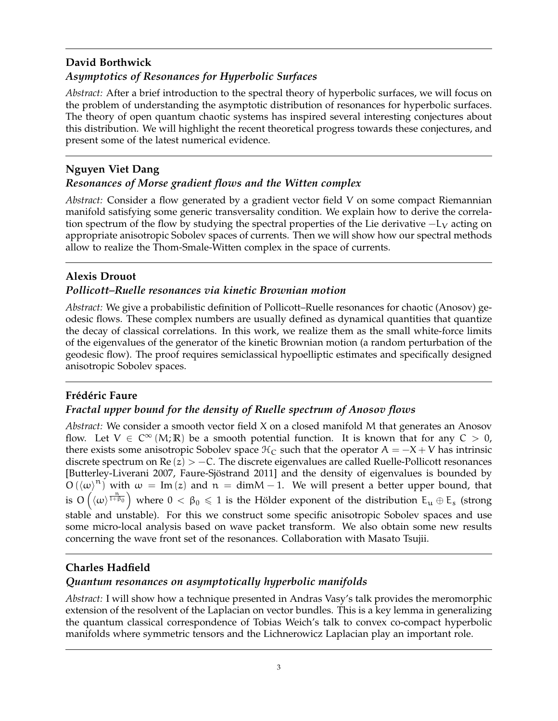## **David Borthwick** *Asymptotics of Resonances for Hyperbolic Surfaces*

*Abstract:* After a brief introduction to the spectral theory of hyperbolic surfaces, we will focus on the problem of understanding the asymptotic distribution of resonances for hyperbolic surfaces. The theory of open quantum chaotic systems has inspired several interesting conjectures about this distribution. We will highlight the recent theoretical progress towards these conjectures, and present some of the latest numerical evidence.

## **Nguyen Viet Dang**

## *Resonances of Morse gradient flows and the Witten complex*

*Abstract:* Consider a flow generated by a gradient vector field V on some compact Riemannian manifold satisfying some generic transversality condition. We explain how to derive the correlation spectrum of the flow by studying the spectral properties of the Lie derivative  $-L<sub>V</sub>$  acting on appropriate anisotropic Sobolev spaces of currents. Then we will show how our spectral methods allow to realize the Thom-Smale-Witten complex in the space of currents.

## **Alexis Drouot**

## *Pollicott–Ruelle resonances via kinetic Brownian motion*

*Abstract:* We give a probabilistic definition of Pollicott–Ruelle resonances for chaotic (Anosov) geodesic flows. These complex numbers are usually defined as dynamical quantities that quantize the decay of classical correlations. In this work, we realize them as the small white-force limits of the eigenvalues of the generator of the kinetic Brownian motion (a random perturbation of the geodesic flow). The proof requires semiclassical hypoelliptic estimates and specifically designed anisotropic Sobolev spaces.

## **Frédéric Faure**

## *Fractal upper bound for the density of Ruelle spectrum of Anosov flows*

*Abstract:* We consider a smooth vector field X on a closed manifold M that generates an Anosov flow. Let  $V \in C^{\infty}(M;\mathbb{R})$  be a smooth potential function. It is known that for any  $C > 0$ , there exists some anisotropic Sobolev space  $\mathcal{H}_C$  such that the operator  $A = -X + V$  has intrinsic discrete spectrum on  $\text{Re}(z) > -C$ . The discrete eigenvalues are called Ruelle-Pollicott resonances [Butterley-Liverani 2007, Faure-Sjöstrand 2011] and the density of eigenvalues is bounded by  $O(\langle \omega \rangle^{n})$  with  $\omega = Im(z)$  and  $n = dimM - 1$ . We will present a better upper bound, that is  $O\left(\langle\omega\rangle^{\frac{n}{1+\beta_0}}\right)$  where  $0 < \beta_0 \leqslant 1$  is the Hölder exponent of the distribution  $E_u \oplus E_s$  (strong stable and unstable). For this we construct some specific anisotropic Sobolev spaces and use some micro-local analysis based on wave packet transform. We also obtain some new results concerning the wave front set of the resonances. Collaboration with Masato Tsujii.

## **Charles Hadfield**

## *Quantum resonances on asymptotically hyperbolic manifolds*

*Abstract:* I will show how a technique presented in Andras Vasy's talk provides the meromorphic extension of the resolvent of the Laplacian on vector bundles. This is a key lemma in generalizing the quantum classical correspondence of Tobias Weich's talk to convex co-compact hyperbolic manifolds where symmetric tensors and the Lichnerowicz Laplacian play an important role.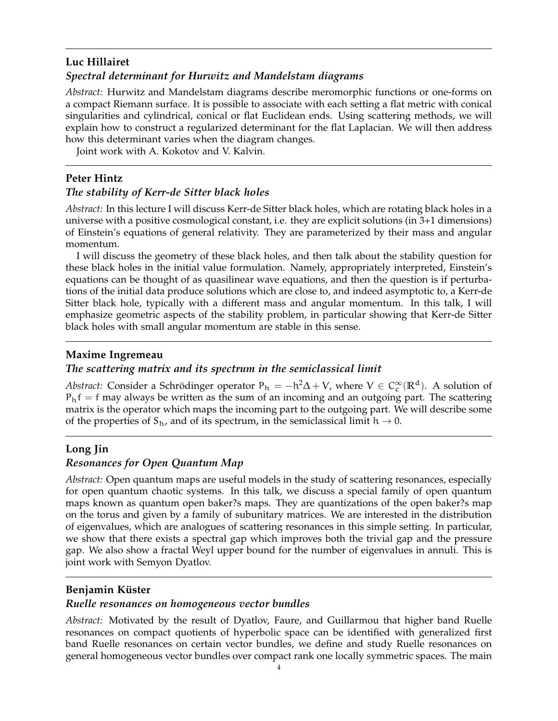## **Luc Hillairet** *Spectral determinant for Hurwitz and Mandelstam diagrams*

*Abstract:* Hurwitz and Mandelstam diagrams describe meromorphic functions or one-forms on a compact Riemann surface. It is possible to associate with each setting a flat metric with conical singularities and cylindrical, conical or flat Euclidean ends. Using scattering methods, we will explain how to construct a regularized determinant for the flat Laplacian. We will then address how this determinant varies when the diagram changes.

Joint work with A. Kokotov and V. Kalvin.

#### **Peter Hintz**

#### *The stability of Kerr-de Sitter black holes*

*Abstract:* In this lecture I will discuss Kerr-de Sitter black holes, which are rotating black holes in a universe with a positive cosmological constant, i.e. they are explicit solutions (in 3+1 dimensions) of Einstein's equations of general relativity. They are parameterized by their mass and angular momentum.

I will discuss the geometry of these black holes, and then talk about the stability question for these black holes in the initial value formulation. Namely, appropriately interpreted, Einstein's equations can be thought of as quasilinear wave equations, and then the question is if perturbations of the initial data produce solutions which are close to, and indeed asymptotic to, a Kerr-de Sitter black hole, typically with a different mass and angular momentum. In this talk, I will emphasize geometric aspects of the stability problem, in particular showing that Kerr-de Sitter black holes with small angular momentum are stable in this sense.

#### **Maxime Ingremeau**

#### *The scattering matrix and its spectrum in the semiclassical limit*

Abstract: Consider a Schrödinger operator  $P_h = -h^2 \Delta + V$ , where  $V \in C_c^{\infty}(\mathbb{R}^d)$ . A solution of  $P<sub>h</sub>f = f$  may always be written as the sum of an incoming and an outgoing part. The scattering matrix is the operator which maps the incoming part to the outgoing part. We will describe some of the properties of  $S_h$ , and of its spectrum, in the semiclassical limit  $h \rightarrow 0$ .

#### **Long Jin**

#### *Resonances for Open Quantum Map*

*Abstract:* Open quantum maps are useful models in the study of scattering resonances, especially for open quantum chaotic systems. In this talk, we discuss a special family of open quantum maps known as quantum open baker?s maps. They are quantizations of the open baker?s map on the torus and given by a family of subunitary matrices. We are interested in the distribution of eigenvalues, which are analogues of scattering resonances in this simple setting. In particular, we show that there exists a spectral gap which improves both the trivial gap and the pressure gap. We also show a fractal Weyl upper bound for the number of eigenvalues in annuli. This is joint work with Semyon Dyatlov.

#### **Benjamin Küster**

#### *Ruelle resonances on homogeneous vector bundles*

*Abstract:* Motivated by the result of Dyatlov, Faure, and Guillarmou that higher band Ruelle resonances on compact quotients of hyperbolic space can be identified with generalized first band Ruelle resonances on certain vector bundles, we define and study Ruelle resonances on general homogeneous vector bundles over compact rank one locally symmetric spaces. The main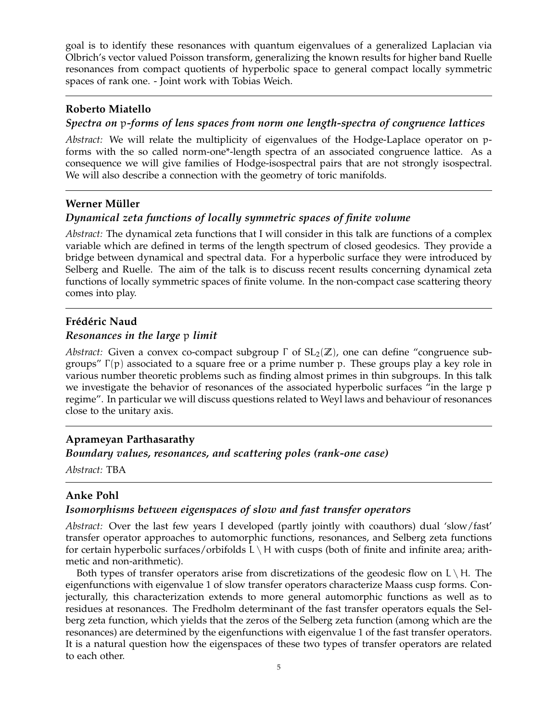goal is to identify these resonances with quantum eigenvalues of a generalized Laplacian via Olbrich's vector valued Poisson transform, generalizing the known results for higher band Ruelle resonances from compact quotients of hyperbolic space to general compact locally symmetric spaces of rank one. - Joint work with Tobias Weich.

#### **Roberto Miatello**

#### *Spectra on* p*-forms of lens spaces from norm one length-spectra of congruence lattices*

*Abstract:* We will relate the multiplicity of eigenvalues of the Hodge-Laplace operator on pforms with the so called norm-one\*-length spectra of an associated congruence lattice. As a consequence we will give families of Hodge-isospectral pairs that are not strongly isospectral. We will also describe a connection with the geometry of toric manifolds.

#### **Werner Müller**

#### *Dynamical zeta functions of locally symmetric spaces of finite volume*

*Abstract:* The dynamical zeta functions that I will consider in this talk are functions of a complex variable which are defined in terms of the length spectrum of closed geodesics. They provide a bridge between dynamical and spectral data. For a hyperbolic surface they were introduced by Selberg and Ruelle. The aim of the talk is to discuss recent results concerning dynamical zeta functions of locally symmetric spaces of finite volume. In the non-compact case scattering theory comes into play.

#### **Frédéric Naud**

#### *Resonances in the large* p *limit*

*Abstract:* Given a convex co-compact subgroup  $\Gamma$  of  $SL_2(\mathbb{Z})$ , one can define "congruence subgroups"  $Γ(p)$  associated to a square free or a prime number p. These groups play a key role in various number theoretic problems such as finding almost primes in thin subgroups. In this talk we investigate the behavior of resonances of the associated hyperbolic surfaces "in the large p regime". In particular we will discuss questions related to Weyl laws and behaviour of resonances close to the unitary axis.

#### **Aprameyan Parthasarathy**

*Boundary values, resonances, and scattering poles (rank-one case)*

*Abstract:* TBA

#### **Anke Pohl**

#### *Isomorphisms between eigenspaces of slow and fast transfer operators*

*Abstract:* Over the last few years I developed (partly jointly with coauthors) dual 'slow/fast' transfer operator approaches to automorphic functions, resonances, and Selberg zeta functions for certain hyperbolic surfaces/orbifolds  $L \setminus H$  with cusps (both of finite and infinite area; arithmetic and non-arithmetic).

Both types of transfer operators arise from discretizations of the geodesic flow on  $L \setminus H$ . The eigenfunctions with eigenvalue 1 of slow transfer operators characterize Maass cusp forms. Conjecturally, this characterization extends to more general automorphic functions as well as to residues at resonances. The Fredholm determinant of the fast transfer operators equals the Selberg zeta function, which yields that the zeros of the Selberg zeta function (among which are the resonances) are determined by the eigenfunctions with eigenvalue 1 of the fast transfer operators. It is a natural question how the eigenspaces of these two types of transfer operators are related to each other.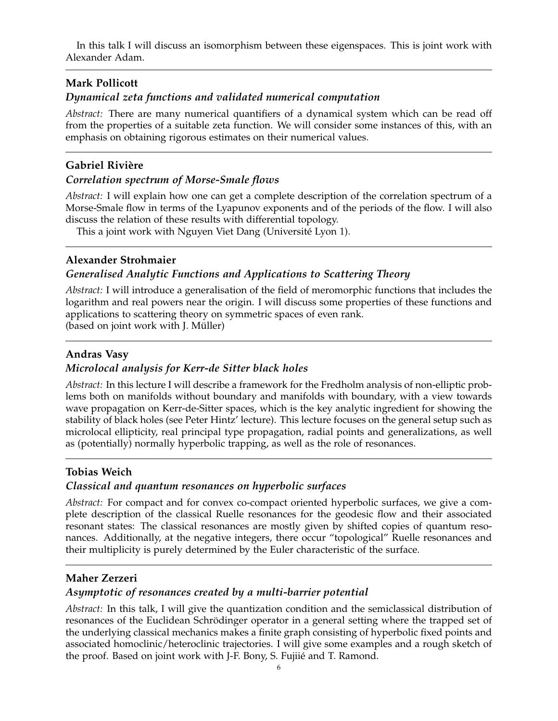In this talk I will discuss an isomorphism between these eigenspaces. This is joint work with Alexander Adam.

## **Mark Pollicott**

### *Dynamical zeta functions and validated numerical computation*

*Abstract:* There are many numerical quantifiers of a dynamical system which can be read off from the properties of a suitable zeta function. We will consider some instances of this, with an emphasis on obtaining rigorous estimates on their numerical values.

### **Gabriel Rivière**

#### *Correlation spectrum of Morse-Smale flows*

*Abstract:* I will explain how one can get a complete description of the correlation spectrum of a Morse-Smale flow in terms of the Lyapunov exponents and of the periods of the flow. I will also discuss the relation of these results with differential topology.

This a joint work with Nguyen Viet Dang (Université Lyon 1).

## **Alexander Strohmaier**

## *Generalised Analytic Functions and Applications to Scattering Theory*

*Abstract:* I will introduce a generalisation of the field of meromorphic functions that includes the logarithm and real powers near the origin. I will discuss some properties of these functions and applications to scattering theory on symmetric spaces of even rank.

(based on joint work with J. Müller)

## **Andras Vasy**

#### *Microlocal analysis for Kerr-de Sitter black holes*

*Abstract:* In this lecture I will describe a framework for the Fredholm analysis of non-elliptic problems both on manifolds without boundary and manifolds with boundary, with a view towards wave propagation on Kerr-de-Sitter spaces, which is the key analytic ingredient for showing the stability of black holes (see Peter Hintz' lecture). This lecture focuses on the general setup such as microlocal ellipticity, real principal type propagation, radial points and generalizations, as well as (potentially) normally hyperbolic trapping, as well as the role of resonances.

#### **Tobias Weich**

#### *Classical and quantum resonances on hyperbolic surfaces*

*Abstract:* For compact and for convex co-compact oriented hyperbolic surfaces, we give a complete description of the classical Ruelle resonances for the geodesic flow and their associated resonant states: The classical resonances are mostly given by shifted copies of quantum resonances. Additionally, at the negative integers, there occur "topological" Ruelle resonances and their multiplicity is purely determined by the Euler characteristic of the surface.

## **Maher Zerzeri**

#### *Asymptotic of resonances created by a multi-barrier potential*

*Abstract:* In this talk, I will give the quantization condition and the semiclassical distribution of resonances of the Euclidean Schrödinger operator in a general setting where the trapped set of the underlying classical mechanics makes a finite graph consisting of hyperbolic fixed points and associated homoclinic/heteroclinic trajectories. I will give some examples and a rough sketch of the proof. Based on joint work with J-F. Bony, S. Fujiie and T. Ramond. ´